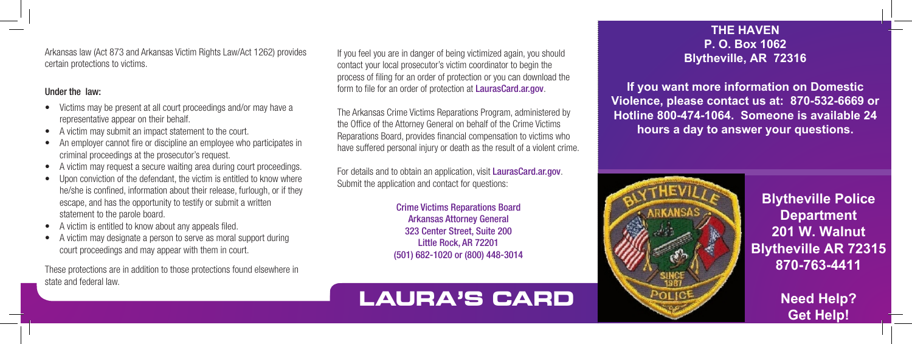Arkansas law (Act 873 and Arkansas Victim Rights Law/Act 1262) provides certain protections to victims.

#### Under the law:

- Victims may be present at all court proceedings and/or may have a representative appear on their behalf.
- A victim may submit an impact statement to the court.
- An employer cannot fire or discipline an employee who participates in criminal proceedings at the prosecutor's request.
- A victim may request a secure waiting area during court proceedings.
- Upon conviction of the defendant, the victim is entitled to know where he/she is confined, information about their release, furlough, or if they escape, and has the opportunity to testify or submit a written statement to the parole board.
- A victim is entitled to know about any appeals filed.
- A victim may designate a person to serve as moral support during court proceedings and may appear with them in court.

These protections are in addition to those protections found elsewhere in state and federal law.

If you feel you are in danger of being victimized again, you should contact your local prosecutor's victim coordinator to begin the process of filing for an order of protection or you can download the form to file for an order of protection at LaurasCard.ar.gov.

The Arkansas Crime Victims Reparations Program, administered by the Office of the Attorney General on behalf of the Crime Victims Reparations Board, provides financial compensation to victims who have suffered personal injury or death as the result of a violent crime.

For details and to obtain an application, visit LaurasCard.ar.gov. Submit the application and contact for questions:

> Crime Victims Reparations Board Arkansas Attorney General 323 Center Street, Suite 200 Little Rock, AR 72201 (501) 682-1020 or (800) 448-3014

## **LAURA'S CARD**

#### **THE HAVEN P. O. Box 1062 Blytheville, AR 72316**

**If you want more information on Domestic Violence, please contact us at: 870-532-6669 or Hotline 800-474-1064. Someone is available 24 hours a day to answer your questions.** 



**Blytheville Police Department 201 W. Walnut Blytheville AR 72315 870-763-4411** 

> **Need Help? Get Help!**